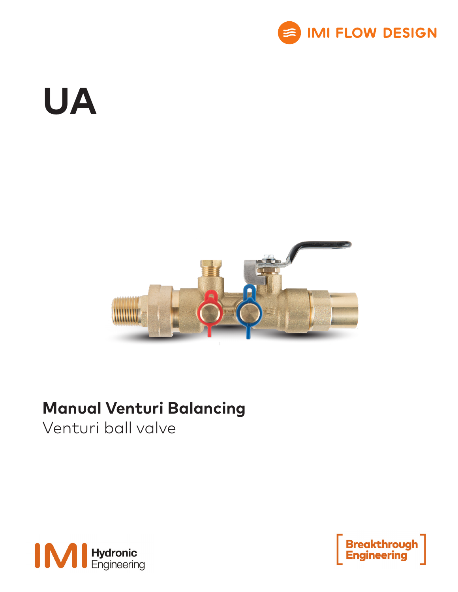

# **UA**



### **Manual Venturi Balancing**

Venturi ball valve



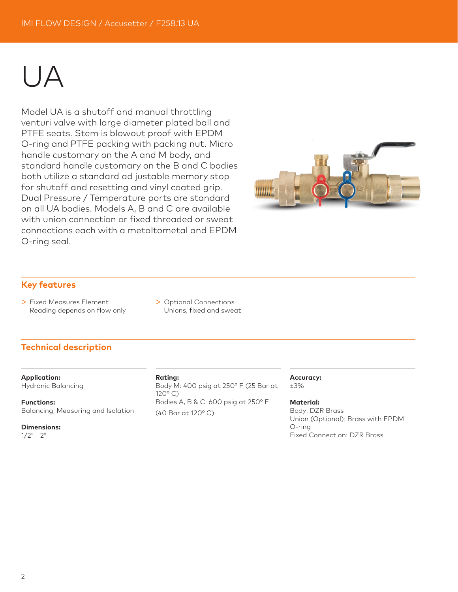## UA

Model UA is a shutoff and manual throttling venturi valve with large diameter plated ball and PTFE seats. Stem is blowout proof with EPDM O-ring and PTFE packing with packing nut. Micro handle customary on the A and M body, and standard handle customary on the B and C bodies both utilize a standard ad justable memory stop for shutoff and resetting and vinyl coated grip. Dual Pressure / Temperature ports are standard on all UA bodies. Models A, B and C are available with union connection or fixed threaded or sweat connections each with a metaltometal and EPDM O-ring seal.



#### **Key features**

- > Fixed Measures Element Reading depends on flow only
- > Optional Connections Unions, fixed and sweat

#### **Technical description**

**Application:**

Hydronic Balancing

**Functions:** Balancing, Measuring and Isolation

**Dimensions:**  $1/2" - 2"$ 

#### **Rating:**

Body M: 400 psig at 250° F (25 Bar at 120° C) Bodies A, B & C: 600 psig at 250° F (40 Bar at 120° C)

#### **Accuracy:**

±3%

**Material:**

Body: DZR Brass Union (Optional): Brass with EPDM O-ring Fixed Connection: DZR Brass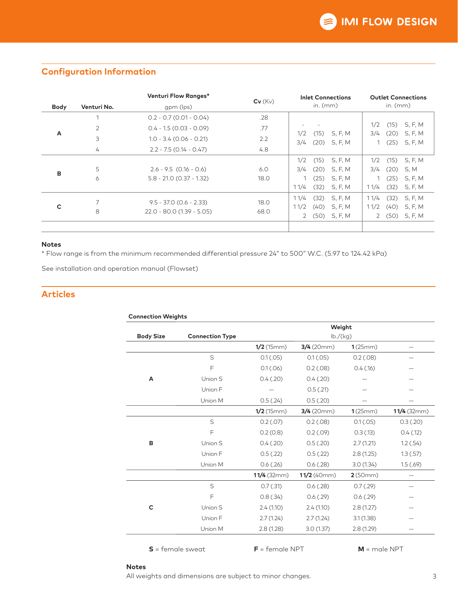|             |                | Venturi Flow Ranges*        | $Cv$ ( $Kv$ ) | <b>Inlet Connections</b>                         | <b>Outlet Connections</b><br>in. $(mm)$  |  |  |
|-------------|----------------|-----------------------------|---------------|--------------------------------------------------|------------------------------------------|--|--|
| <b>Body</b> | Venturi No.    | gpm (lps)                   |               | in. $(mm)$                                       |                                          |  |  |
|             | 1              | $0.2 - 0.7$ (0.01 - 0.04)   | .28           |                                                  |                                          |  |  |
| A           | $\overline{2}$ | $0.4 - 1.5$ (0.03 - 0.09)   | .77           |                                                  | 1/2<br>(15)<br>S, F, M                   |  |  |
|             | 3              | $1.0 - 3.4$ (0.06 - 0.21)   | 2.2           | 1/2<br>(15)<br>S, F, M<br>3/4<br>(20)<br>S, F, M | S, F, M<br>3/4<br>(20)<br>$(25)$ S, F, M |  |  |
|             | 4              | $2.2 - 7.5$ (0.14 - 0.47)   | 4.8           |                                                  |                                          |  |  |
| B           |                |                             |               | 1/2<br>(15)<br>S, F, M                           | 1/2<br>(15)<br>S, F, M                   |  |  |
|             | 5              | $2.6 - 9.5$ (0.16 - 0.6)    | 6.0           | (20)<br>S, F, M<br>3/4                           | (20)<br>S, M<br>3/4                      |  |  |
|             | 6              | $5.8 - 21.0$ (0.37 - 1.32)  | 18.0          | (25)<br>S, F, M                                  | S, F, M<br>(25)                          |  |  |
|             |                |                             |               | 11/4<br>(32)<br>S, F, M                          | (32)<br>S, F, M<br>11/4                  |  |  |
| C           | 7              | $9.5 - 37.0$ (0.6 - 2.33)   | 18.0          | 11/4<br>(32)<br>S, F, M                          | (32)<br>11/4<br>S, F, M                  |  |  |
|             | 8              | $22.0 - 80.0$ (1.39 - 5.05) | 68.0          | 11/2<br>(40)<br>S, F, M                          | 11/2<br>S, F, M<br>(40)                  |  |  |
|             |                |                             |               | (50)<br>S, F, M<br>2                             | 2(50)<br>S, F, M                         |  |  |
|             |                |                             |               |                                                  |                                          |  |  |

#### **Configuration Information**

#### **Notes**

\* Flow range is from the minimum recommended differential pressure 24" to 500" W.C. (5.97 to 124.42 kPa)

See installation and operation manual (Flowset)

#### **Articles**

|                  |                        | Weight<br>lb./(kg) |               |             |               |  |  |
|------------------|------------------------|--------------------|---------------|-------------|---------------|--|--|
| <b>Body Size</b> | <b>Connection Type</b> |                    |               |             |               |  |  |
|                  |                        | $1/2$ (15mm)       | 3/4(20mm)     | 1(25mm)     |               |  |  |
|                  | S                      | 0.1(.05)           | 0.1(.05)      | $0.2$ (.08) |               |  |  |
|                  | F                      | 0.1(.06)           | $0.2$ (.08)   | 0.4(0.16)   |               |  |  |
| A                | Union S                | 0.4(0.20)          | 0.4(.20)      |             |               |  |  |
|                  | Union F                |                    | 0.5(.21)      |             |               |  |  |
|                  | Union M                | 0.5(.24)           | 0.5(.20)      |             |               |  |  |
|                  |                        | $1/2$ (15mm)       | 3/4(20mm)     | 1(25mm)     | $11/4$ (32mm) |  |  |
|                  | S                      | $0.2$ (.07)        | $0.2$ (.08)   | 0.1(.05)    | 0.3(0.20)     |  |  |
|                  | F                      | 0.2(0.8)           | $0.2$ (.09)   | 0.3(0.13)   | $0.4$ (.12)   |  |  |
| в                | Union S                | 0.4(.20)           | 0.5(.20)      | 2.7(1.21)   | 1.2(.54)      |  |  |
|                  | Union F                | 0.5(.22)           | 0.5(.22)      | 2.8(1.25)   | 1.3(.57)      |  |  |
|                  | Union M                | 0.6(.26)           | 0.6(0.28)     | 3.0(1.34)   | 1.5(.69)      |  |  |
|                  |                        | $11/4$ (32mm)      | $11/2$ (40mm) | 2(50mm)     |               |  |  |
|                  | S                      | $0.7$ (.31)        | $0.6$ $(.28)$ | 0.7(0.29)   |               |  |  |
|                  | F                      | 0.8(.34)           | $0.6$ $(.29)$ | 0.6(0.29)   |               |  |  |
| C                | Union S                | 2.4(1.10)          | 2.4(1.10)     | 2.8(1.27)   |               |  |  |
|                  | Union F                | 2.7(1.24)          | 2.7(1.24)     | 3.1(1.38)   |               |  |  |
|                  | Union M                | 2.8(1.28)          | 3.0(1.37)     | 2.8(1.29)   |               |  |  |

**S** = female sweat **F** = female NPT **M** = male NPT

#### **Notes**

All weights and dimensions are subject to minor changes.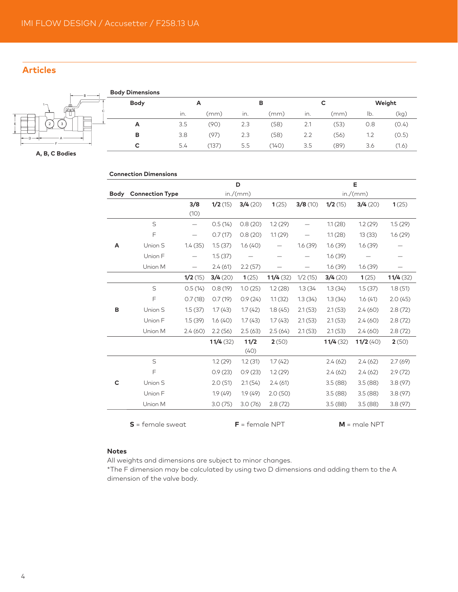#### **Articles**



**A, B, C Bodies**

|             | <b>Connection Dimensions</b> |                          |          |          |                   |         |          |          |          |
|-------------|------------------------------|--------------------------|----------|----------|-------------------|---------|----------|----------|----------|
|             |                              |                          |          | D        |                   |         |          | Е        |          |
| <b>Body</b> | <b>Connection Type</b>       |                          |          | in./(mm) |                   |         |          | in./(mm) |          |
|             |                              | 3/8                      | 1/2(15)  | 3/4(20)  | 1(25)             | 3/8(10) | 1/2(15)  | 3/4(20)  | 1(25)    |
|             |                              | (10)                     |          |          |                   |         |          |          |          |
|             | S                            | $\overline{\phantom{0}}$ | 0.5(14)  | 0.8(20)  | 1.2(29)           |         | 1.1(28)  | 1.2(29)  | 1.5(29)  |
|             | F                            |                          | 0.7(17)  | 0.8(20)  | 1.1(29)           |         | 1.1(28)  | 13(33)   | 1.6(29)  |
| Α           | Union S                      | 1.4(35)                  | 1.5(37)  | 1.6(40)  |                   | 1.6(39) | 1.6(39)  | 1.6(39)  | —        |
|             | Union F                      |                          | 1.5(37)  |          |                   |         | 1.6(39)  |          |          |
|             | Union M                      | $\qquad \qquad$          | 2.4(61)  | 2.2(57)  | $\qquad \qquad -$ |         | 1.6(39)  | 1.6(39)  |          |
|             |                              | 1/2(15)                  | 3/4(20)  | 1(25)    | 11/4(32)          | 1/2(15) | 3/4(20)  | 1(25)    | 11/4(32) |
| в           | S                            | 0.5(14)                  | 0.8(19)  | 1.0(25)  | 1.2(28)           | 1.3(34) | 1.3(34)  | 1.5(37)  | 1.8(51)  |
|             | F                            | 0.7(18)                  | 0.7(19)  | 0.9(24)  | 1.1(32)           | 1.3(34) | 1.3(34)  | 1.6(41)  | 2.0(45)  |
|             | Union S                      | 1.5(37)                  | 1.7(43)  | 1.7(42)  | 1.8(45)           | 2.1(53) | 2.1(53)  | 2.4(60)  | 2.8(72)  |
|             | Union F                      | 1.5(39)                  | 1.6(40)  | 1.7(43)  | 1.7(43)           | 2.1(53) | 2.1(53)  | 2.4(60)  | 2.8(72)  |
|             | Union M                      | 2.4(60)                  | 2.2(56)  | 2.5(63)  | 2.5(64)           | 2.1(53) | 2.1(53)  | 2.4(60)  | 2.8(72)  |
|             |                              |                          | 11/4(32) | 11/2     | 2(50)             |         | 11/4(32) | 11/2(40) | 2(50)    |
|             |                              |                          |          | (40)     |                   |         |          |          |          |
| C           | $\mathsf S$                  |                          | 1.2(29)  | 1.2(31)  | 1.7(42)           |         | 2.4(62)  | 2.4(62)  | 2.7(69)  |
|             | F                            |                          | 0.9(23)  | 0.9(23)  | 1.2(29)           |         | 2.4(62)  | 2.4(62)  | 2.9(72)  |
|             | Union S                      |                          | 2.0(51)  | 2.1(54)  | 2.4(61)           |         | 3.5(88)  | 3.5(88)  | 3.8(97)  |
|             | Union F                      |                          | 1.9(49)  | 1.9(49)  | 2.0(50)           |         | 3.5(88)  | 3.5(88)  | 3.8(97)  |
|             | Union M                      |                          | 3.0(75)  | 3.0(76)  | 2.8(72)           |         | 3.5(88)  | 3.5(88)  | 3.8(97)  |

#### **Notes**

All weights and dimensions are subject to minor changes.

\*The F dimension may be calculated by using two D dimensions and adding them to the A dimension of the valve body.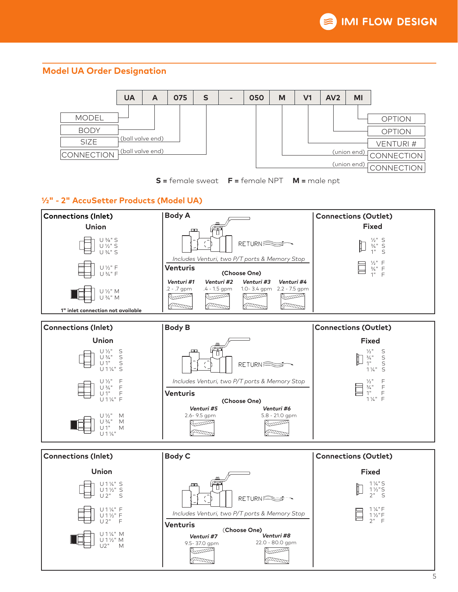#### **Model UA Order Designation**





#### **1/2" - 2" AccuSetter Products (Model UA)**